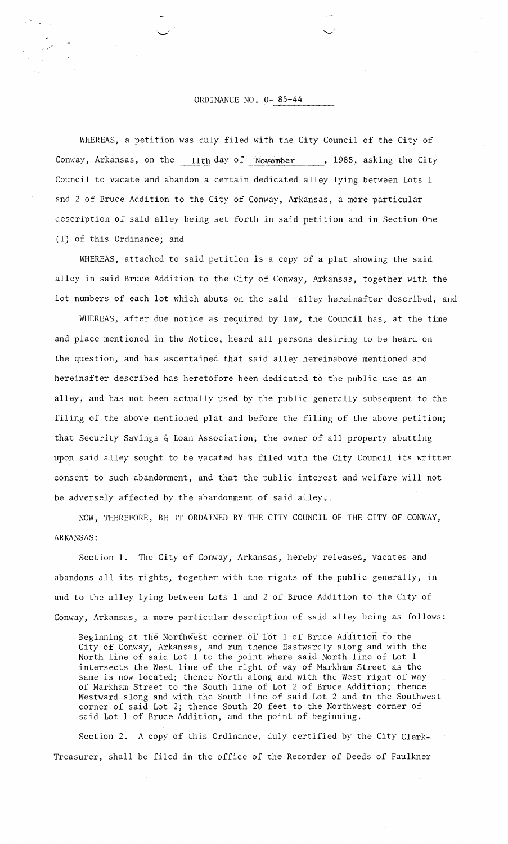## ORDINANCE NO. 0-85-44

WHEREAS, a petition was duly filed with the City Council of the City of Conway, Arkansas, on the  $11th$  day of November, 1985, asking the City Council to vacate and abandon a certain dedicated alley lying between Lots 1 and 2 of Bruce Addition to the City of Conway, Arkansas, a more particular description of said alley being set forth in said petition and in Section One (1) of this Ordinance; and

WHEREAS, attached to said petition is a copy of a plat showing the said alley in said Bruce Addition to the City of Conway, Arkansas, together with the lot numbers of each lot which abuts on the said alley hereinafter described, and

WHEREAS, after due notice as required by law, the Council has, at the time and place mentioned in the Notice, heard all persons desiring to be heard on the question, and has ascertained that said alley hereinabove mentioned and hereinafter described has heretofore been dedicated to the public use as an alley, and has not been actually used by the public generally subsequent to the filing of the above mentioned plat and before the filing of the above petition; that Security Savings 6 Loan Association, the owner of all property abutting upon said alley sought to be vacated has filed with the City Council its written consent to such abandonment, and that the public interest and welfare will not be adversely affected by the abandonment of said alley.

NOW, THEREFORE, BE IT ORDAINED BY THE CITY COUNCIL OF THE CITY OF CONWAY, ARKANSAS :

Section 1. The City of Conway, Arkansas, hereby releases, vacates and abandons all its rights, together with the rights of the public generally, in and to the alley lying between Lots 1 and 2 of Bruce Addition to the City of Conway, Arkansas, a more particular description of said alley being as follows:

Beginning at the Northwest corner of Lot 1 of Bruce Addition to the City of Conway, Arkansas, and run thence Eastwardly along and with the North line of said Lot 1 to the point where said North line of Lot 1 intersects the West line of the right of way of Markham Street as the same is now located; thence North along and with the West right of way of Markham Street to the South line of Lot 2 of Bruce Addition; thence Westward along and with the South line of said Lot 2 and to the Southwest corner of said Lot 2; thence South 20 feet to the Northwest corner of said Lot 1 of Bruce Addition, and the point of beginning.

Section 2. A copy of this Ordinance, duly certified by the City Clerk-Treasurer, shall be filed in the office of the Recorder of Deeds of Faulkner